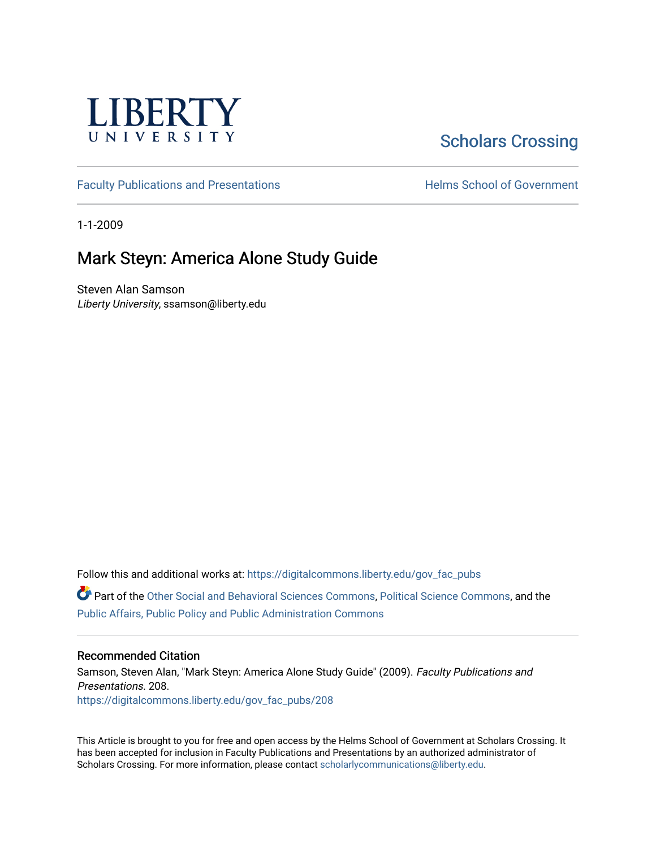

# [Scholars Crossing](https://digitalcommons.liberty.edu/)

[Faculty Publications and Presentations](https://digitalcommons.liberty.edu/gov_fac_pubs) **Exercise School of Government** 

1-1-2009

### Mark Steyn: America Alone Study Guide

Steven Alan Samson Liberty University, ssamson@liberty.edu

Follow this and additional works at: [https://digitalcommons.liberty.edu/gov\\_fac\\_pubs](https://digitalcommons.liberty.edu/gov_fac_pubs?utm_source=digitalcommons.liberty.edu%2Fgov_fac_pubs%2F208&utm_medium=PDF&utm_campaign=PDFCoverPages)

Part of the [Other Social and Behavioral Sciences Commons](http://network.bepress.com/hgg/discipline/437?utm_source=digitalcommons.liberty.edu%2Fgov_fac_pubs%2F208&utm_medium=PDF&utm_campaign=PDFCoverPages), [Political Science Commons](http://network.bepress.com/hgg/discipline/386?utm_source=digitalcommons.liberty.edu%2Fgov_fac_pubs%2F208&utm_medium=PDF&utm_campaign=PDFCoverPages), and the [Public Affairs, Public Policy and Public Administration Commons](http://network.bepress.com/hgg/discipline/393?utm_source=digitalcommons.liberty.edu%2Fgov_fac_pubs%2F208&utm_medium=PDF&utm_campaign=PDFCoverPages)

### Recommended Citation

Samson, Steven Alan, "Mark Steyn: America Alone Study Guide" (2009). Faculty Publications and Presentations. 208. [https://digitalcommons.liberty.edu/gov\\_fac\\_pubs/208](https://digitalcommons.liberty.edu/gov_fac_pubs/208?utm_source=digitalcommons.liberty.edu%2Fgov_fac_pubs%2F208&utm_medium=PDF&utm_campaign=PDFCoverPages)

This Article is brought to you for free and open access by the Helms School of Government at Scholars Crossing. It has been accepted for inclusion in Faculty Publications and Presentations by an authorized administrator of Scholars Crossing. For more information, please contact [scholarlycommunications@liberty.edu.](mailto:scholarlycommunications@liberty.edu)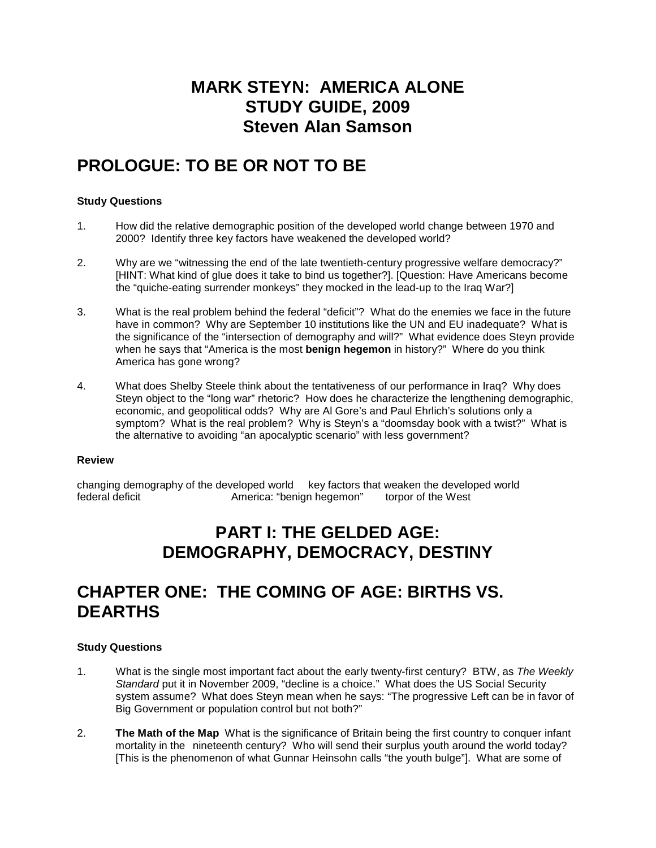# **MARK STEYN: AMERICA ALONE STUDY GUIDE, 2009 Steven Alan Samson**

# **PROLOGUE: TO BE OR NOT TO BE**

### **Study Questions**

- 1. How did the relative demographic position of the developed world change between 1970 and 2000? Identify three key factors have weakened the developed world?
- 2. Why are we "witnessing the end of the late twentieth-century progressive welfare democracy?" [HINT: What kind of glue does it take to bind us together?]. [Question: Have Americans become the "quiche-eating surrender monkeys" they mocked in the lead-up to the Iraq War?]
- 3. What is the real problem behind the federal "deficit"? What do the enemies we face in the future have in common? Why are September 10 institutions like the UN and EU inadequate? What is the significance of the "intersection of demography and will?" What evidence does Steyn provide when he says that "America is the most **benign hegemon** in history?" Where do you think America has gone wrong?
- 4. What does Shelby Steele think about the tentativeness of our performance in Iraq? Why does Steyn object to the "long war" rhetoric? How does he characterize the lengthening demographic, economic, and geopolitical odds? Why are Al Gore's and Paul Ehrlich's solutions only a symptom? What is the real problem? Why is Steyn's a "doomsday book with a twist?" What is the alternative to avoiding "an apocalyptic scenario" with less government?

#### **Review**

changing demography of the developed world key factors that weaken the developed world<br>federal deficit federal deficit ferming a sumerica: "benign heatomon" torpor of the West America: "benign hegemon" torpor of the West

# **PART I: THE GELDED AGE: DEMOGRAPHY, DEMOCRACY, DESTINY**

## **CHAPTER ONE: THE COMING OF AGE: BIRTHS VS. DEARTHS**

- 1. What is the single most important fact about the early twenty-first century? BTW, as *The Weekly Standard* put it in November 2009, "decline is a choice." What does the US Social Security system assume? What does Steyn mean when he says: "The progressive Left can be in favor of Big Government or population control but not both?"
- 2. **The Math of the Map** What is the significance of Britain being the first country to conquer infant mortality in the nineteenth century? Who will send their surplus youth around the world today? [This is the phenomenon of what Gunnar Heinsohn calls "the youth bulge"]. What are some of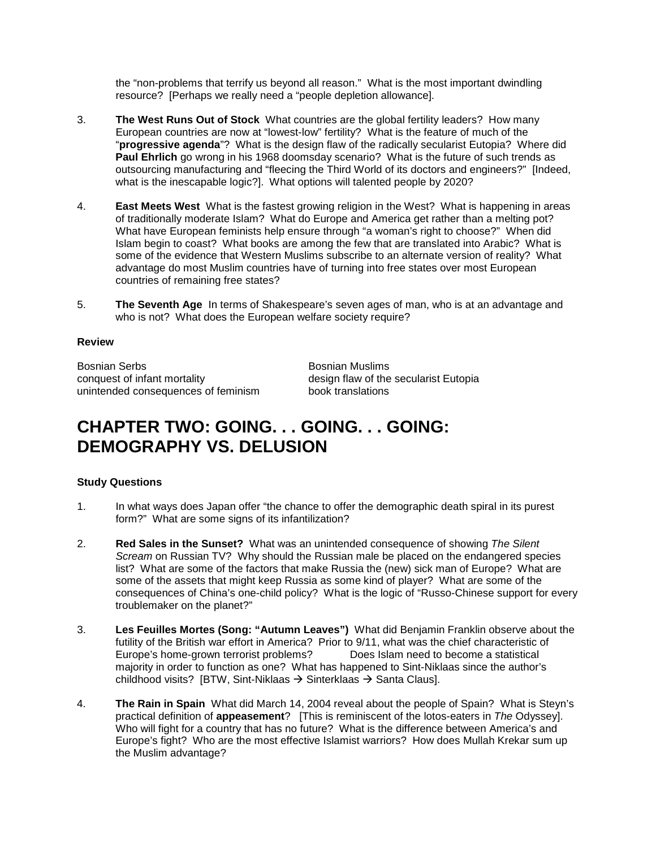the "non-problems that terrify us beyond all reason." What is the most important dwindling resource? [Perhaps we really need a "people depletion allowance].

- 3. **The West Runs Out of Stock** What countries are the global fertility leaders? How many European countries are now at "lowest-low" fertility? What is the feature of much of the "**progressive agenda**"? What is the design flaw of the radically secularist Eutopia? Where did **Paul Ehrlich** go wrong in his 1968 doomsday scenario? What is the future of such trends as outsourcing manufacturing and "fleecing the Third World of its doctors and engineers?" [Indeed, what is the inescapable logic?]. What options will talented people by 2020?
- 4. **East Meets West** What is the fastest growing religion in the West? What is happening in areas of traditionally moderate Islam? What do Europe and America get rather than a melting pot? What have European feminists help ensure through "a woman's right to choose?" When did Islam begin to coast? What books are among the few that are translated into Arabic? What is some of the evidence that Western Muslims subscribe to an alternate version of reality? What advantage do most Muslim countries have of turning into free states over most European countries of remaining free states?
- 5. **The Seventh Age** In terms of Shakespeare's seven ages of man, who is at an advantage and who is not? What does the European welfare society require?

### **Review**

Bosnian Serbs<br>
conquest of infant mortality<br>
Conquest of infant mortality<br>
Bosnian Muslims<br>
design flaw of the unintended consequences of feminism book translations

design flaw of the secularist Eutopia

## **CHAPTER TWO: GOING. . . GOING. . . GOING: DEMOGRAPHY VS. DELUSION**

- 1. In what ways does Japan offer "the chance to offer the demographic death spiral in its purest form?" What are some signs of its infantilization?
- 2. **Red Sales in the Sunset?** What was an unintended consequence of showing *The Silent Scream* on Russian TV? Why should the Russian male be placed on the endangered species list? What are some of the factors that make Russia the (new) sick man of Europe? What are some of the assets that might keep Russia as some kind of player? What are some of the consequences of China's one-child policy? What is the logic of "Russo-Chinese support for every troublemaker on the planet?"
- 3. **Les Feuilles Mortes (Song: "Autumn Leaves")** What did Benjamin Franklin observe about the futility of the British war effort in America? Prior to 9/11, what was the chief characteristic of Europe's home-grown terrorist problems? Does Islam need to become a statistical Europe's home-grown terrorist problems? majority in order to function as one? What has happened to Sint-Niklaas since the author's childhood visits? [BTW, Sint-Niklaas  $\rightarrow$  Sinterklaas  $\rightarrow$  Santa Claus].
- 4. **The Rain in Spain** What did March 14, 2004 reveal about the people of Spain?What is Steyn's practical definition of **appeasement**? [This is reminiscent of the lotos-eaters in *The* Odyssey]. Who will fight for a country that has no future? What is the difference between America's and Europe's fight? Who are the most effective Islamist warriors? How does Mullah Krekar sum up the Muslim advantage?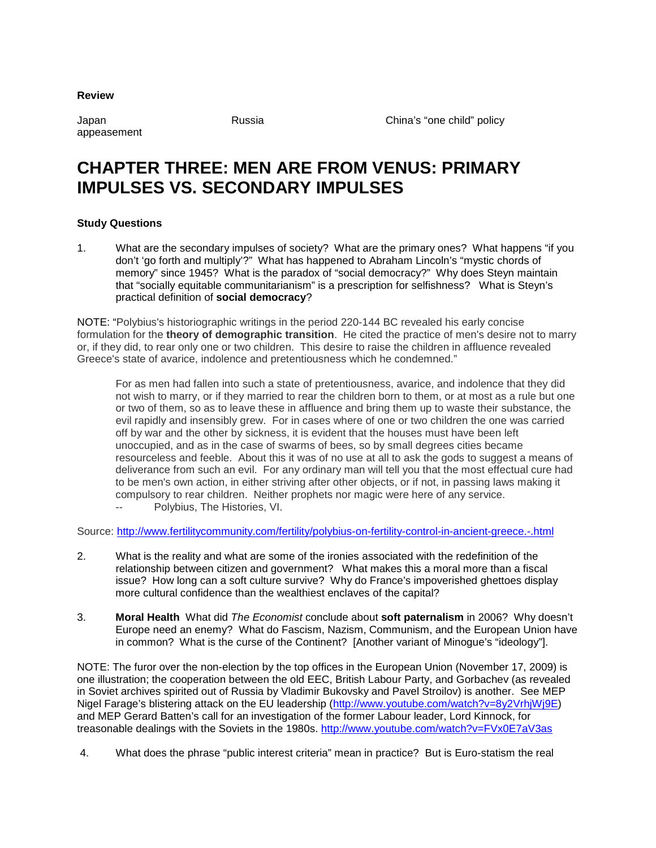**Review**

appeasement

Japan Russia China's "one child" policy

## **CHAPTER THREE: MEN ARE FROM VENUS: PRIMARY IMPULSES VS. SECONDARY IMPULSES**

### **Study Questions**

1. What are the secondary impulses of society? What are the primary ones? What happens "if you don't 'go forth and multiply'?" What has happened to Abraham Lincoln's "mystic chords of memory" since 1945? What is the paradox of "social democracy?" Why does Steyn maintain that "socially equitable communitarianism" is a prescription for selfishness? What is Steyn's practical definition of **social democracy**?

NOTE: "Polybius's historiographic writings in the period 220-144 BC revealed his early concise formulation for the **theory of demographic transition**. He cited the practice of men's desire not to marry or, if they did, to rear only one or two children. This desire to raise the children in affluence revealed Greece's state of avarice, indolence and pretentiousness which he condemned."

For as men had fallen into such a state of pretentiousness, avarice, and indolence that they did not wish to marry, or if they married to rear the children born to them, or at most as a rule but one or two of them, so as to leave these in affluence and bring them up to waste their substance, the evil rapidly and insensibly grew. For in cases where of one or two children the one was carried off by war and the other by sickness, it is evident that the houses must have been left unoccupied, and as in the case of swarms of bees, so by small degrees cities became resourceless and feeble. About this it was of no use at all to ask the gods to suggest a means of deliverance from such an evil. For any ordinary man will tell you that the most effectual cure had to be men's own action, in either striving after other objects, or if not, in passing laws making it compulsory to rear children. Neither prophets nor magic were here of any service.

Polybius, The Histories, VI.

Source:<http://www.fertilitycommunity.com/fertility/polybius-on-fertility-control-in-ancient-greece.-.html>

- 2. What is the reality and what are some of the ironies associated with the redefinition of the relationship between citizen and government? What makes this a moral more than a fiscal issue? How long can a soft culture survive? Why do France's impoverished ghettoes display more cultural confidence than the wealthiest enclaves of the capital?
- 3. **Moral Health** What did *The Economist* conclude about **soft paternalism** in 2006? Why doesn't Europe need an enemy? What do Fascism, Nazism, Communism, and the European Union have in common? What is the curse of the Continent? [Another variant of Minogue's "ideology"].

NOTE: The furor over the non-election by the top offices in the European Union (November 17, 2009) is one illustration; the cooperation between the old EEC, British Labour Party, and Gorbachev (as revealed in Soviet archives spirited out of Russia by Vladimir Bukovsky and Pavel Stroilov) is another. See MEP Nigel Farage's blistering attack on the EU leadership [\(http://www.youtube.com/watch?v=8y2VrhjWj9E\)](http://www.youtube.com/watch?v=8y2VrhjWj9E) and MEP Gerard Batten's call for an investigation of the former Labour leader, Lord Kinnock, for treasonable dealings with the Soviets in the 1980s.<http://www.youtube.com/watch?v=FVx0E7aV3as>

4. What does the phrase "public interest criteria" mean in practice? But is Euro-statism the real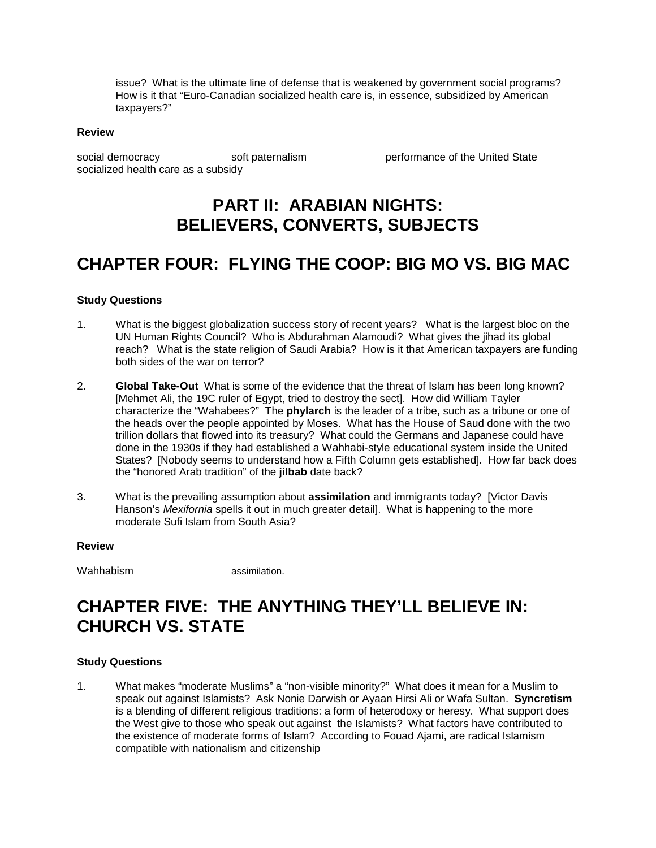issue? What is the ultimate line of defense that is weakened by government social programs? How is it that "Euro-Canadian socialized health care is, in essence, subsidized by American taxpayers?"

#### **Review**

social democracy soft paternalism between performance of the United State socialized health care as a subsidy

## **PART II: ARABIAN NIGHTS: BELIEVERS, CONVERTS, SUBJECTS**

### **CHAPTER FOUR: FLYING THE COOP: BIG MO VS. BIG MAC**

#### **Study Questions**

- 1. What is the biggest globalization success story of recent years? What is the largest bloc on the UN Human Rights Council? Who is Abdurahman Alamoudi? What gives the jihad its global reach? What is the state religion of Saudi Arabia? How is it that American taxpayers are funding both sides of the war on terror?
- 2. **Global Take-Out** What is some of the evidence that the threat of Islam has been long known? [Mehmet Ali, the 19C ruler of Egypt, tried to destroy the sect]. How did William Tayler characterize the "Wahabees?" The **phylarch** is the leader of a tribe, such as a tribune or one of the heads over the people appointed by Moses. What has the House of Saud done with the two trillion dollars that flowed into its treasury? What could the Germans and Japanese could have done in the 1930s if they had established a Wahhabi-style educational system inside the United States? [Nobody seems to understand how a Fifth Column gets established]. How far back does the "honored Arab tradition" of the **jilbab** date back?
- 3. What is the prevailing assumption about **assimilation** and immigrants today? [Victor Davis Hanson's *Mexifornia* spells it out in much greater detail]. What is happening to the more moderate Sufi Islam from South Asia?

#### **Review**

Wahhabism assimilation.

## **CHAPTER FIVE: THE ANYTHING THEY'LL BELIEVE IN: CHURCH VS. STATE**

#### **Study Questions**

1. What makes "moderate Muslims" a "non-visible minority?" What does it mean for a Muslim to speak out against Islamists? Ask Nonie Darwish or Ayaan Hirsi Ali or Wafa Sultan. **Syncretism**  is a blending of different religious traditions: a form of heterodoxy or heresy. What support does the West give to those who speak out against the Islamists? What factors have contributed to the existence of moderate forms of Islam? According to Fouad Ajami, are radical Islamism compatible with nationalism and citizenship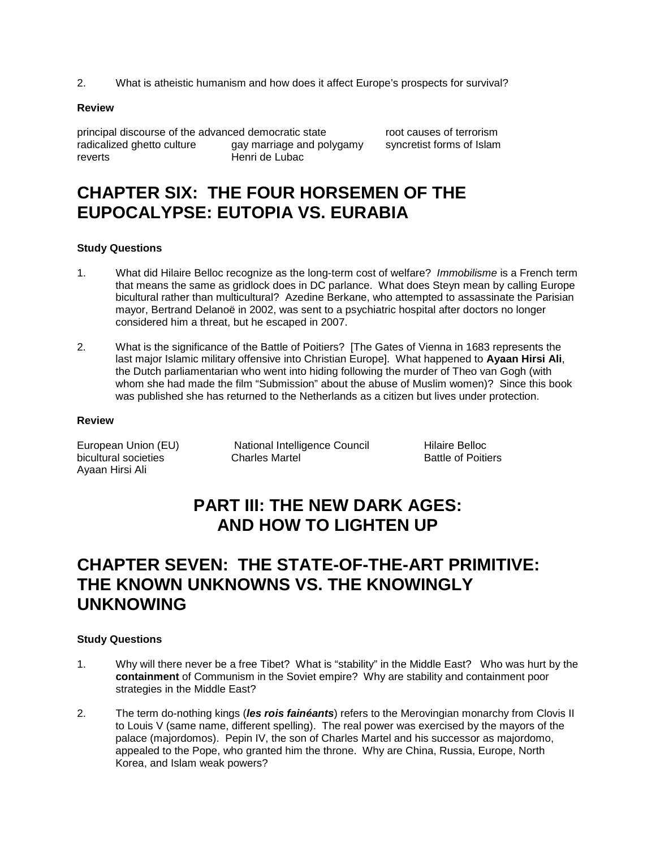2. What is atheistic humanism and how does it affect Europe's prospects for survival?

#### **Review**

principal discourse of the advanced democratic state root causes of terrorism<br>
radicalized ghetto culture aay marriage and polygamy syncretist forms of Islam radicalized ghetto culture gay marriage and polygamy<br>reverts forms of Henri de Lubac

Henri de Lubac

## **CHAPTER SIX: THE FOUR HORSEMEN OF THE EUPOCALYPSE: EUTOPIA VS. EURABIA**

### **Study Questions**

- 1. What did Hilaire Belloc recognize as the long-term cost of welfare? *Immobilisme* is a French term that means the same as gridlock does in DC parlance. What does Steyn mean by calling Europe bicultural rather than multicultural? Azedine Berkane, who attempted to assassinate the Parisian mayor, Bertrand Delanoë in 2002, was sent to a psychiatric hospital after doctors no longer considered him a threat, but he escaped in 2007.
- 2. What is the significance of the Battle of Poitiers? [The Gates of Vienna in 1683 represents the last major Islamic military offensive into Christian Europe]. What happened to **Ayaan Hirsi Ali**, the Dutch parliamentarian who went into hiding following the murder of Theo van Gogh (with whom she had made the film "Submission" about the abuse of Muslim women)? Since this book was published she has returned to the Netherlands as a citizen but lives under protection.

#### **Review**

bicultural societies **Charles Martel** Battle of Poitiers **Battle of Poitiers** Ayaan Hirsi Ali

European Union (EU) National Intelligence Council Hilaire Belloc

# **PART III: THE NEW DARK AGES: AND HOW TO LIGHTEN UP**

## **CHAPTER SEVEN: THE STATE-OF-THE-ART PRIMITIVE: THE KNOWN UNKNOWNS VS. THE KNOWINGLY UNKNOWING**

- 1. Why will there never be a free Tibet? What is "stability" in the Middle East? Who was hurt by the **containment** of Communism in the Soviet empire? Why are stability and containment poor strategies in the Middle East?
- 2. The term do-nothing kings (*les rois fainéants*) refers to the Merovingian monarchy from Clovis II to Louis V (same name, different spelling). The real power was exercised by the mayors of the palace (majordomos). Pepin IV, the son of Charles Martel and his successor as majordomo, appealed to the Pope, who granted him the throne. Why are China, Russia, Europe, North Korea, and Islam weak powers?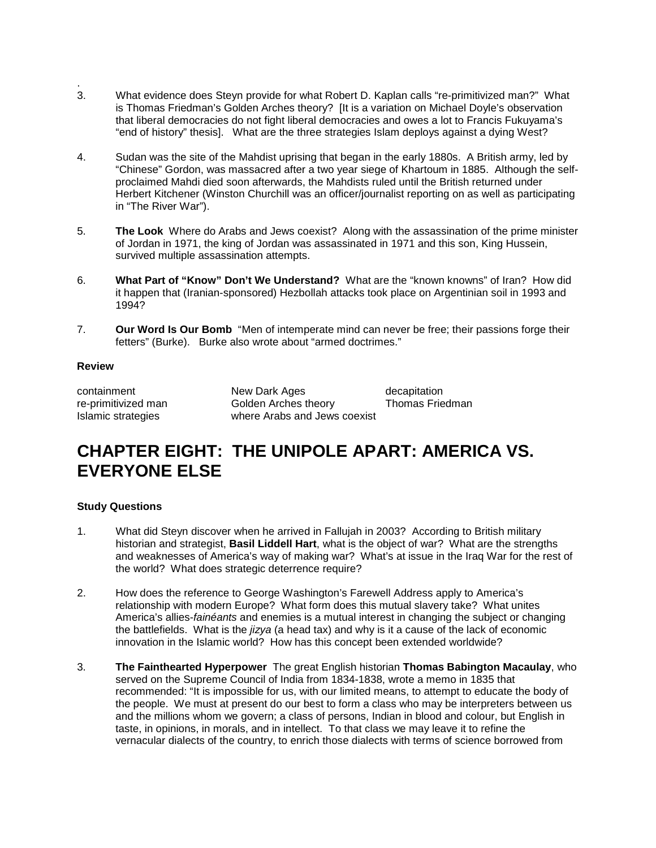- . 3. What evidence does Steyn provide for what Robert D. Kaplan calls "re-primitivized man?" What is Thomas Friedman's Golden Arches theory? [It is a variation on Michael Doyle's observation that liberal democracies do not fight liberal democracies and owes a lot to Francis Fukuyama's "end of history" thesis]. What are the three strategies Islam deploys against a dying West?
- 4. Sudan was the site of the Mahdist uprising that began in the early 1880s. A British army, led by "Chinese" Gordon, was massacred after a two year siege of Khartoum in 1885. Although the selfproclaimed Mahdi died soon afterwards, the Mahdists ruled until the British returned under Herbert Kitchener (Winston Churchill was an officer/journalist reporting on as well as participating in "The River War").
- 5. **The Look** Where do Arabs and Jews coexist? Along with the assassination of the prime minister of Jordan in 1971, the king of Jordan was assassinated in 1971 and this son, King Hussein, survived multiple assassination attempts.
- 6. **What Part of "Know" Don't We Understand?** What are the "known knowns" of Iran? How did it happen that (Iranian-sponsored) Hezbollah attacks took place on Argentinian soil in 1993 and 1994?
- 7. **Our Word Is Our Bomb** "Men of intemperate mind can never be free; their passions forge their fetters" (Burke). Burke also wrote about "armed doctrimes."

#### **Review**

containment **New Dark Ages** decapitation<br>
re-primitivized man Golden Arches theory Thomas Friedman Golden Arches theory Islamic strategies where Arabs and Jews coexist

# **CHAPTER EIGHT: THE UNIPOLE APART: AMERICA VS. EVERYONE ELSE**

- 1. What did Steyn discover when he arrived in Fallujah in 2003? According to British military historian and strategist, **Basil Liddell Hart**, what is the object of war? What are the strengths and weaknesses of America's way of making war? What's at issue in the Iraq War for the rest of the world? What does strategic deterrence require?
- 2. How does the reference to George Washington's Farewell Address apply to America's relationship with modern Europe? What form does this mutual slavery take? What unites America's allies-*fainéants* and enemies is a mutual interest in changing the subject or changing the battlefields. What is the *jizya* (a head tax) and why is it a cause of the lack of economic innovation in the Islamic world? How has this concept been extended worldwide?
- 3. **The Fainthearted Hyperpower** The great English historian **Thomas Babington Macaulay**, who served on the Supreme Council of India from 1834-1838, wrote a memo in 1835 that recommended: "It is impossible for us, with our limited means, to attempt to educate the body of the people. We must at present do our best to form a class who may be interpreters between us and the millions whom we govern; a class of persons, Indian in blood and colour, but English in taste, in opinions, in morals, and in intellect. To that class we may leave it to refine the vernacular dialects of the country, to enrich those dialects with terms of science borrowed from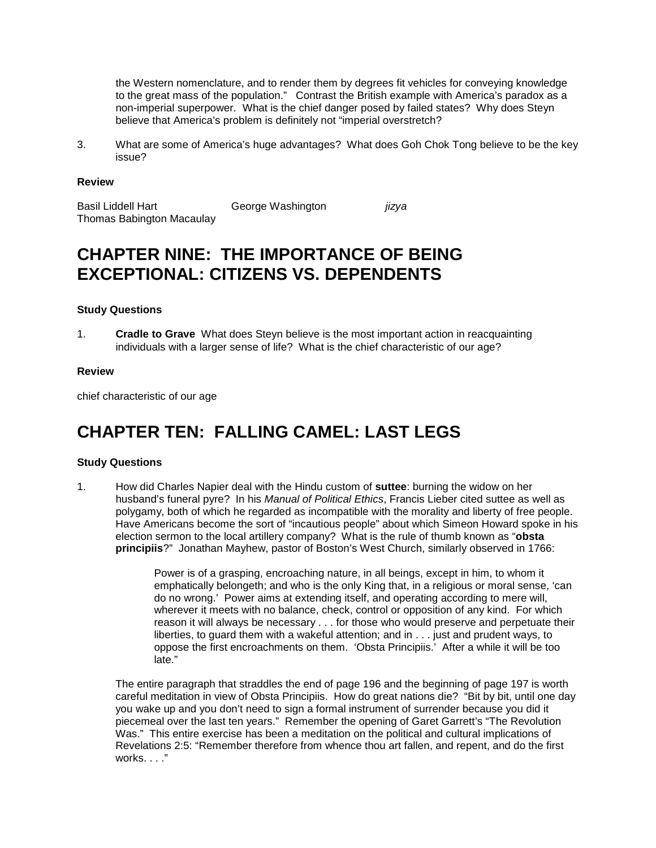the Western nomenclature, and to render them by degrees fit vehicles for conveying knowledge to the great mass of the population." Contrast the British example with America's paradox as a non-imperial superpower. What is the chief danger posed by failed states? Why does Steyn believe that America's problem is definitely not "imperial overstretch?

3. What are some of America's huge advantages? What does Goh Chok Tong believe to be the key issue?

#### **Review**

Basil Liddell Hart George Washington *jizya* Thomas Babington Macaulay

## **CHAPTER NINE: THE IMPORTANCE OF BEING EXCEPTIONAL: CITIZENS VS. DEPENDENTS**

#### **Study Questions**

1. **Cradle to Grave** What does Steyn believe is the most important action in reacquainting individuals with a larger sense of life? What is the chief characteristic of our age?

#### **Review**

chief characteristic of our age

## **CHAPTER TEN: FALLING CAMEL: LAST LEGS**

#### **Study Questions**

1. How did Charles Napier deal with the Hindu custom of **suttee**: burning the widow on her husband's funeral pyre? In his *Manual of Political Ethics*, Francis Lieber cited suttee as well as polygamy, both of which he regarded as incompatible with the morality and liberty of free people. Have Americans become the sort of "incautious people" about which Simeon Howard spoke in his election sermon to the local artillery company? What is the rule of thumb known as "**obsta principiis**?" Jonathan Mayhew, pastor of Boston's West Church, similarly observed in 1766:

> Power is of a grasping, encroaching nature, in all beings, except in him, to whom it emphatically belongeth; and who is the only King that, in a religious or moral sense, 'can do no wrong.' Power aims at extending itself, and operating according to mere will, wherever it meets with no balance, check, control or opposition of any kind. For which reason it will always be necessary . . . for those who would preserve and perpetuate their liberties, to guard them with a wakeful attention; and in . . . just and prudent ways, to oppose the first encroachments on them. 'Obsta Principiis.' After a while it will be too late."

The entire paragraph that straddles the end of page 196 and the beginning of page 197 is worth careful meditation in view of Obsta Principiis. How do great nations die? "Bit by bit, until one day you wake up and you don't need to sign a formal instrument of surrender because you did it piecemeal over the last ten years." Remember the opening of Garet Garrett's "The Revolution Was." This entire exercise has been a meditation on the political and cultural implications of Revelations 2:5: "Remember therefore from whence thou art fallen, and repent, and do the first works. . . ."